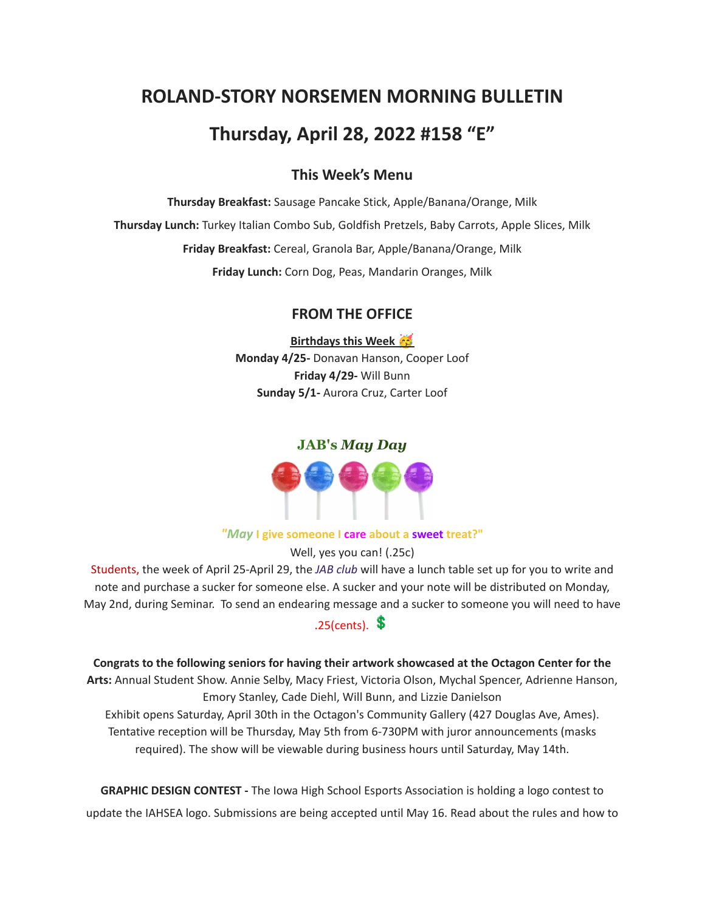# **ROLAND-STORY NORSEMEN MORNING BULLETIN**

## **Thursday, April 28, 2022 #158 "E"**

## **This Week's Menu**

**Thursday Breakfast:** Sausage Pancake Stick, Apple/Banana/Orange, Milk **Thursday Lunch:** Turkey Italian Combo Sub, Goldfish Pretzels, Baby Carrots, Apple Slices, Milk **Friday Breakfast:** Cereal, Granola Bar, Apple/Banana/Orange, Milk **Friday Lunch:** Corn Dog, Peas, Mandarin Oranges, Milk

## **FROM THE OFFICE**

**Birthdays this Week Monday 4/25-** Donavan Hanson, Cooper Loof **Friday 4/29-** Will Bunn **Sunday 5/1-** Aurora Cruz, Carter Loof

#### **JAB's** *May Day*



#### *"May* **I give someone I care about a sweet treat?"**

Well, yes you can! (.25c)

Students, the week of April 25-April 29, the *JAB club* will have a lunch table set up for you to write and note and purchase a sucker for someone else. A sucker and your note will be distributed on Monday, May 2nd, during Seminar. To send an endearing message and a sucker to someone you will need to have

## $.25$ (cents).  $\text{\$}$

**Congrats to the following seniors for having their artwork showcased at the Octagon Center for the Arts:** Annual Student Show. Annie Selby, Macy Friest, Victoria Olson, Mychal Spencer, Adrienne Hanson, Emory Stanley, Cade Diehl, Will Bunn, and Lizzie Danielson

Exhibit opens Saturday, April 30th in the Octagon's Community Gallery (427 Douglas Ave, Ames). Tentative reception will be Thursday, May 5th from 6-730PM with juror announcements (masks required). The show will be viewable during business hours until Saturday, May 14th.

**GRAPHIC DESIGN CONTEST -** The Iowa High School Esports Association is holding a logo contest to update the IAHSEA logo. Submissions are being accepted until May 16. Read about the rules and how to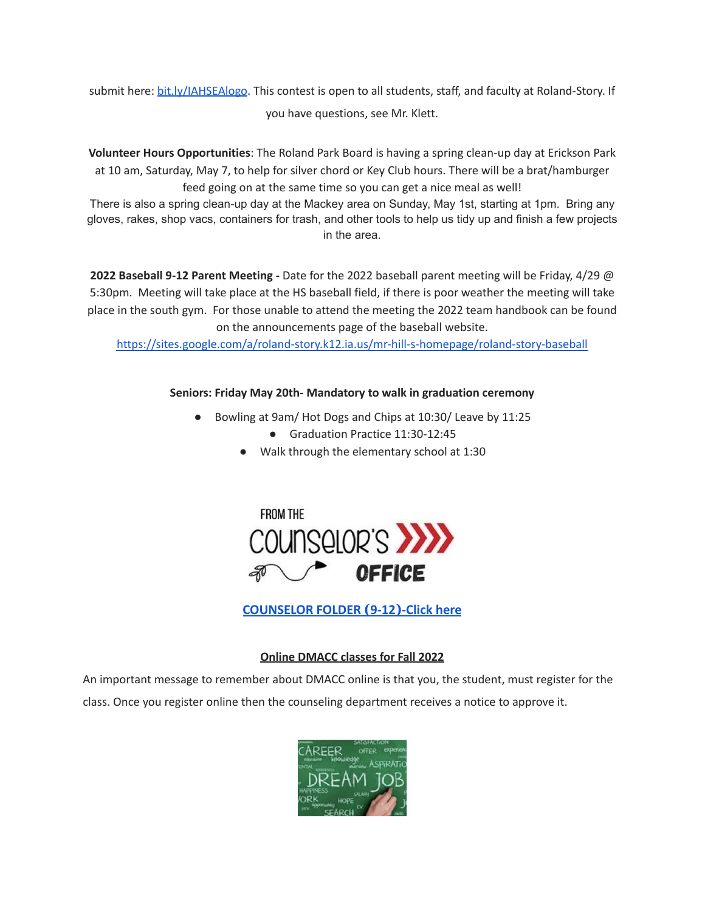submit here: [bit.ly/IAHSEAlogo.](http://bit.ly/IAHSEAlogo) This contest is open to all students, staff, and faculty at Roland-Story. If you have questions, see Mr. Klett.

**Volunteer Hours Opportunities**: The Roland Park Board is having a spring clean-up day at Erickson Park at 10 am, Saturday, May 7, to help for silver chord or Key Club hours. There will be a brat/hamburger feed going on at the same time so you can get a nice meal as well!

There is also a spring clean-up day at the Mackey area on Sunday, May 1st, starting at 1pm. Bring any gloves, rakes, shop vacs, containers for trash, and other tools to help us tidy up and finish a few projects in the area.

**2022 Baseball 9-12 Parent Meeting -** Date for the 2022 baseball parent meeting will be Friday, 4/29 @ 5:30pm. Meeting will take place at the HS baseball field, if there is poor weather the meeting will take place in the south gym. For those unable to attend the meeting the 2022 team handbook can be found on the announcements page of the baseball website.

<https://sites.google.com/a/roland-story.k12.ia.us/mr-hill-s-homepage/roland-story-baseball>

## **Seniors: Friday May 20th- Mandatory to walk in graduation ceremony**

- Bowling at 9am/ Hot Dogs and Chips at 10:30/ Leave by 11:25
	- Graduation Practice 11:30-12:45
	- Walk through the elementary school at 1:30



**[COUNSELOR FOLDER](https://docs.google.com/document/d/1vmwczNPbDzXe9vFaG5LJMQ7NYDv-i4oQJHybqA65TUc/edit?usp=sharing) (9-12)-Click here**

## **Online DMACC classes for Fall 2022**

An important message to remember about DMACC online is that you, the student, must register for the class. Once you register online then the counseling department receives a notice to approve it.

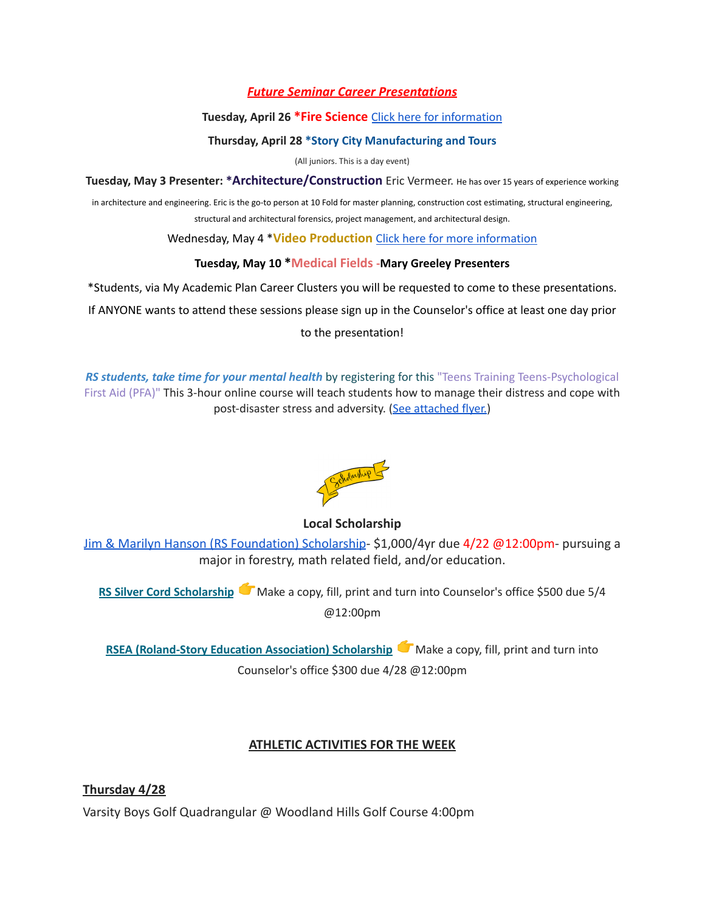## *Future Seminar Career Presentations*

#### **Tuesday, April 26 \*Fire Science** Click here for [information](https://www.dmacc.edu/programs/fire/Pages/welcome.aspx)

#### **Thursday, April 28 \*Story City Manufacturing and Tours**

(All juniors. This is a day event)

**Tuesday, May 3 Presenter: \*Architecture/Construction** Eric Vermeer. He has over <sup>15</sup> years of experience working

in architecture and engineering. Eric is the go-to person at 10 Fold for master planning, construction cost estimating, structural engineering, structural and architectural forensics, project management, and architectural design.

Wednesday, May 4 \***Video Production** Click here for more [information](https://www.dmacc.edu/programs/video/Pages/welcome.aspx)

## **Tuesday, May 10 \*Medical Fields -Mary Greeley Presenters**

\*Students, via My Academic Plan Career Clusters you will be requested to come to these presentations.

If ANYONE wants to attend these sessions please sign up in the Counselor's office at least one day prior

to the presentation!

*RS students, take time for your mental health* by registering for this "Teens Training Teens-Psychological First Aid (PFA)" This 3-hour online course will teach students how to manage their distress and cope with post-disaster stress and adversity. (See [attached](https://drive.google.com/file/d/18ZxsDgb9mTVccDP5AD1ejwqoEi1MNUwE/view?usp=sharing) flyer.)



## **Local Scholarship**

[Jim & Marilyn Hanson \(RS Foundation\) Scholarship](https://docs.google.com/document/d/1ZTlh8dBWKYLTE2ZXAX8cFE_071yzMHCiRBXRqeR_Sv8/edit?usp=sharing)- \$1,000/4yr due 4/22 @12:00pm- pursuing a major in forestry, math related field, and/or education.

**RS Silver Cord [Scholarship](https://docs.google.com/document/d/12og0k5MTIc1OeFEzEig2sJZbI5ykSKtMlEJRu1iKhdA/edit?usp=sharing)** Make a copy, fill, print and turn into Counselor's office \$500 due 5/4 @12:00pm

**RSEA [\(Roland-Story](https://docs.google.com/document/d/1YwFGXKN4fBAFzL5lRATvKspYv1CbagujvEZKrQq0Kcg/edit?usp=sharing) Education Association) Scholarship** Make a copy, fill, print and turn into Counselor's office \$300 due 4/28 @12:00pm

## **ATHLETIC ACTIVITIES FOR THE WEEK**

**Thursday 4/28** Varsity Boys Golf Quadrangular @ Woodland Hills Golf Course 4:00pm